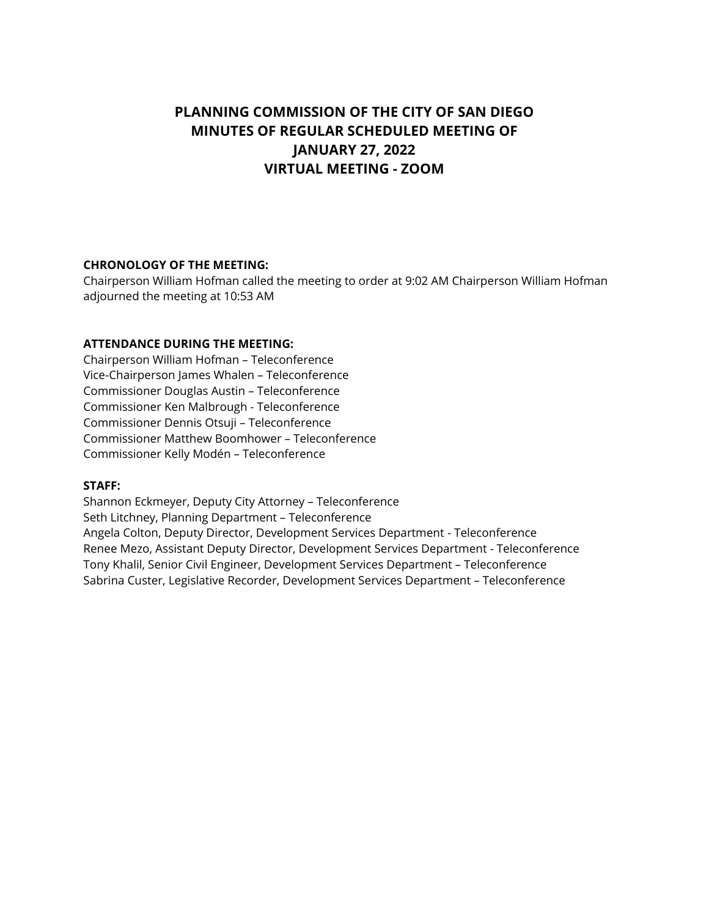# **PLANNING COMMISSION OF THE CITY OF SAN DIEGO MINUTES OF REGULAR SCHEDULED MEETING OF JANUARY 27, 2022 VIRTUAL MEETING - ZOOM**

#### **CHRONOLOGY OF THE MEETING:**

Chairperson William Hofman called the meeting to order at 9:02 AM Chairperson William Hofman adjourned the meeting at 10:53 AM

# **ATTENDANCE DURING THE MEETING:**

Chairperson William Hofman – Teleconference Vice-Chairperson James Whalen – Teleconference Commissioner Douglas Austin – Teleconference Commissioner Ken Malbrough - Teleconference Commissioner Dennis Otsuji – Teleconference Commissioner Matthew Boomhower – Teleconference Commissioner Kelly Modén – Teleconference

#### **STAFF:**

Shannon Eckmeyer, Deputy City Attorney – Teleconference Seth Litchney, Planning Department – Teleconference Angela Colton, Deputy Director, Development Services Department - Teleconference Renee Mezo, Assistant Deputy Director, Development Services Department - Teleconference Tony Khalil, Senior Civil Engineer, Development Services Department – Teleconference Sabrina Custer, Legislative Recorder, Development Services Department – Teleconference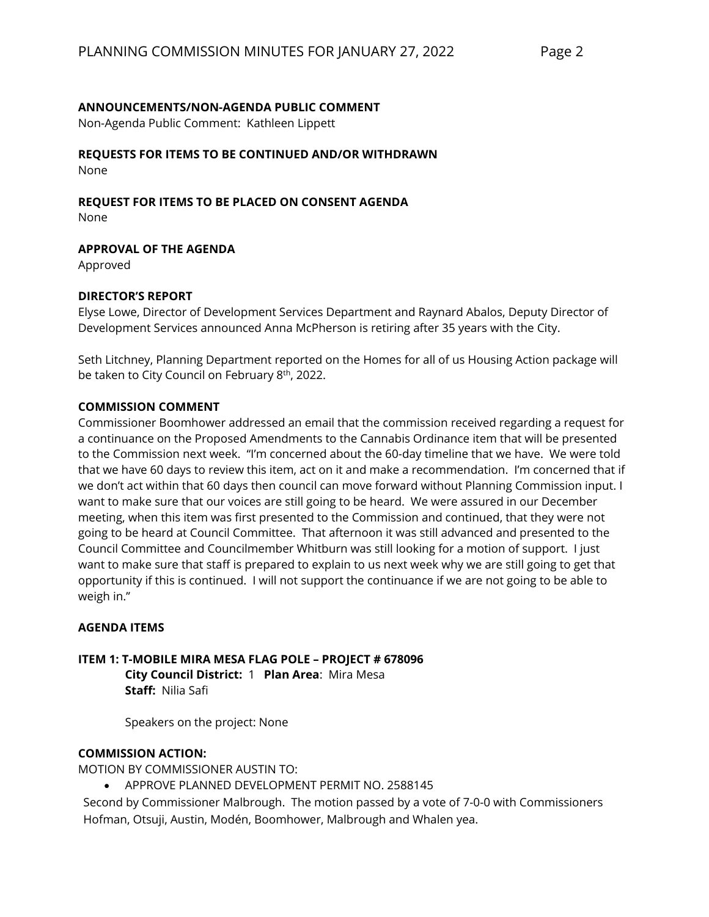# **ANNOUNCEMENTS/NON-AGENDA PUBLIC COMMENT**

Non-Agenda Public Comment: Kathleen Lippett

# **REQUESTS FOR ITEMS TO BE CONTINUED AND/OR WITHDRAWN**

None

# **REQUEST FOR ITEMS TO BE PLACED ON CONSENT AGENDA**

None

# **APPROVAL OF THE AGENDA**

Approved

# **DIRECTOR'S REPORT**

Elyse Lowe, Director of Development Services Department and Raynard Abalos, Deputy Director of Development Services announced Anna McPherson is retiring after 35 years with the City.

Seth Litchney, Planning Department reported on the Homes for all of us Housing Action package will be taken to City Council on February 8<sup>th</sup>, 2022.

#### **COMMISSION COMMENT**

Commissioner Boomhower addressed an email that the commission received regarding a request for a continuance on the Proposed Amendments to the Cannabis Ordinance item that will be presented to the Commission next week. "I'm concerned about the 60-day timeline that we have. We were told that we have 60 days to review this item, act on it and make a recommendation. I'm concerned that if we don't act within that 60 days then council can move forward without Planning Commission input. I want to make sure that our voices are still going to be heard. We were assured in our December meeting, when this item was first presented to the Commission and continued, that they were not going to be heard at Council Committee. That afternoon it was still advanced and presented to the Council Committee and Councilmember Whitburn was still looking for a motion of support. I just want to make sure that staff is prepared to explain to us next week why we are still going to get that opportunity if this is continued. I will not support the continuance if we are not going to be able to weigh in."

#### **AGENDA ITEMS**

**ITEM 1: T-MOBILE MIRA MESA FLAG POLE – PROJECT # 678096 City Council District:** 1 **Plan Area**: Mira Mesa **Staff:** Nilia Safi

Speakers on the project: None

# **COMMISSION ACTION:**

MOTION BY COMMISSIONER AUSTIN TO:

• APPROVE PLANNED DEVELOPMENT PERMIT NO. 2588145

Second by Commissioner Malbrough. The motion passed by a vote of 7-0-0 with Commissioners Hofman, Otsuji, Austin, Modén, Boomhower, Malbrough and Whalen yea.